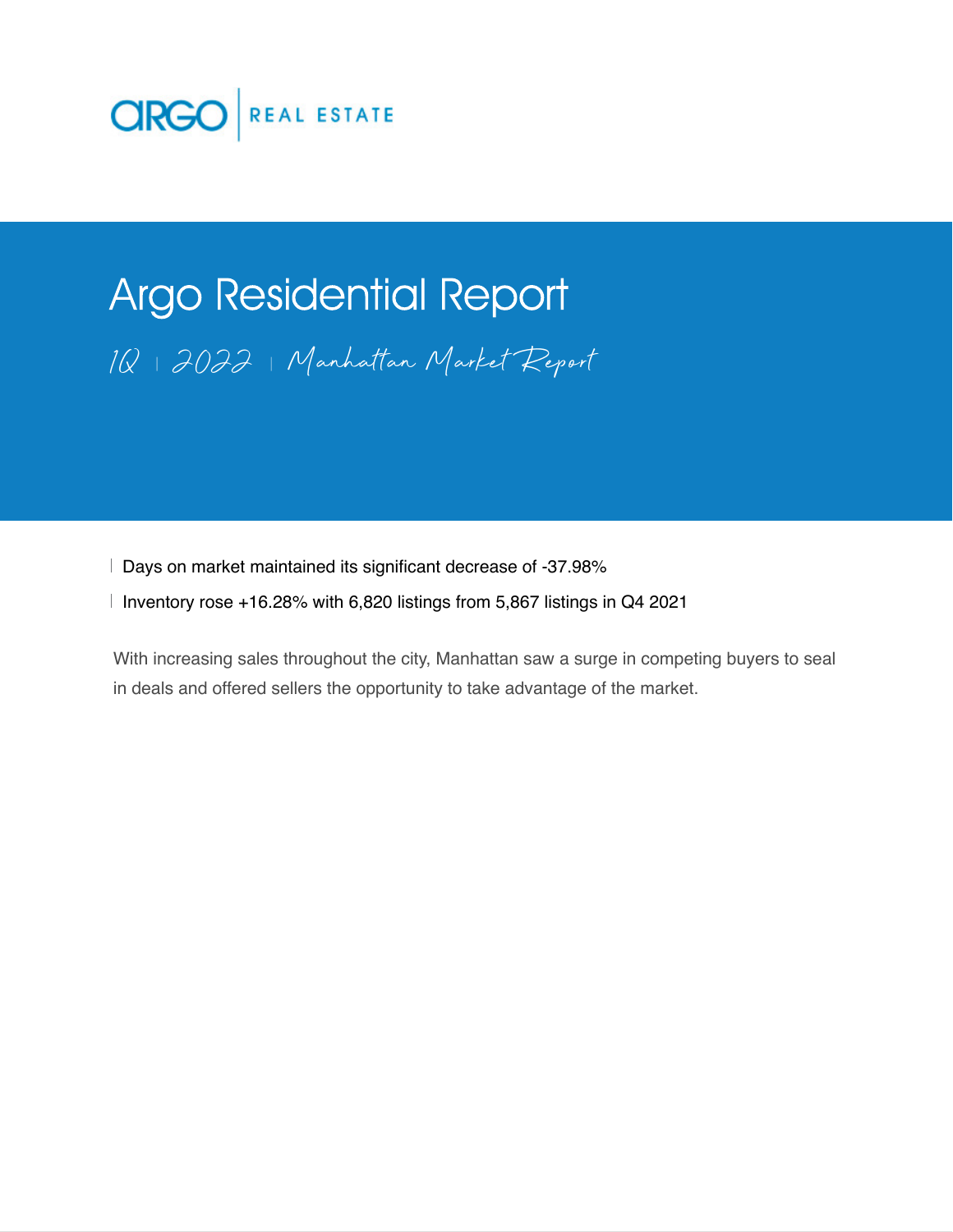

# Argo Residential Report 1Q 2022 Manhattan Market Report

Days on market maintained its significant decrease of -37.98%

Inventory rose +16.28% with 6,820 listings from 5,867 listings in Q4 2021

With increasing sales throughout the city, Manhattan saw a surge in competing buyers to seal in deals and offered sellers the opportunity to take advantage of the market.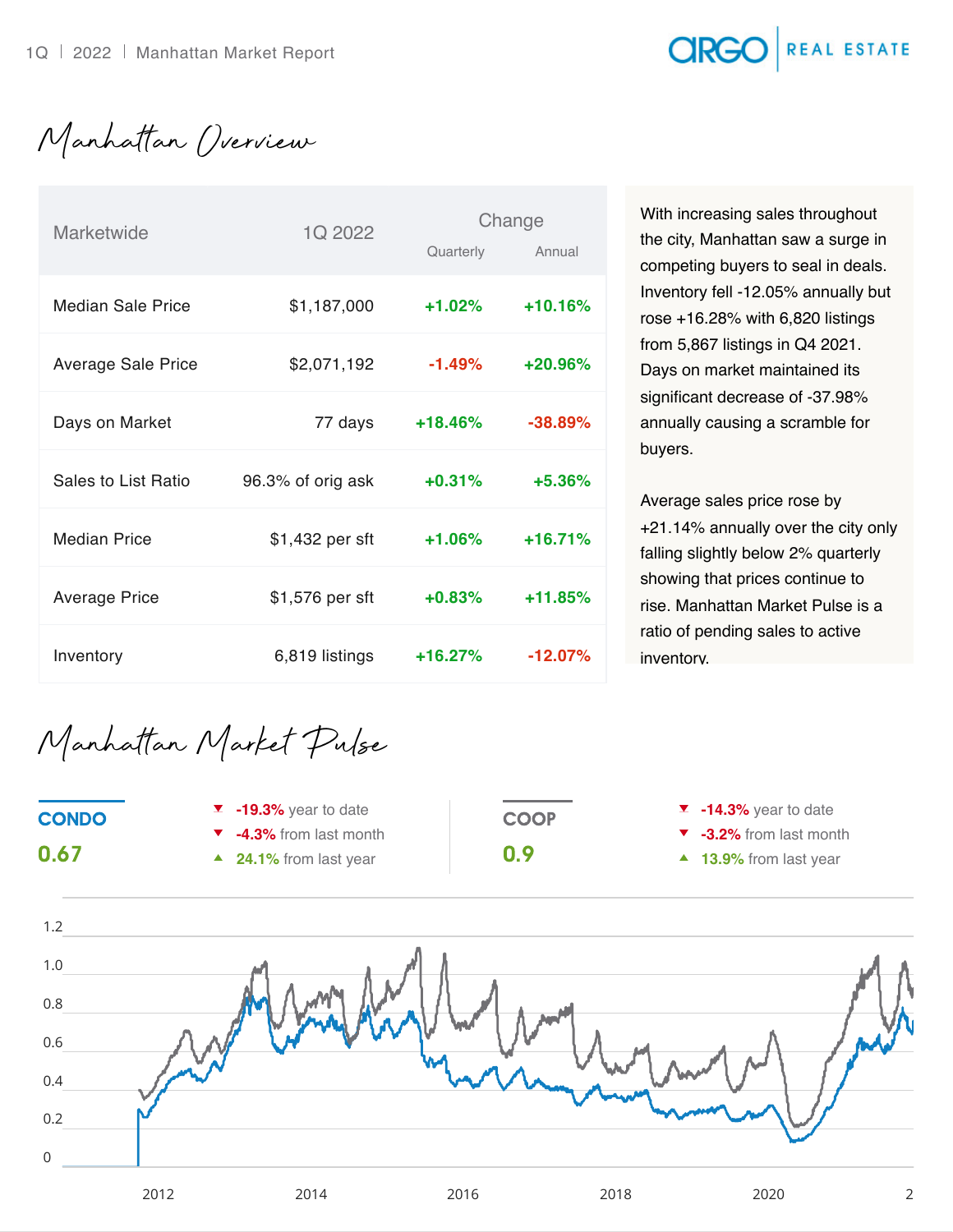### **CIRGO** REAL ESTATE

Manhattan Overview

| <b>Marketwide</b>         | 1Q 2022           |           | Change     |  |
|---------------------------|-------------------|-----------|------------|--|
|                           |                   | Quarterly | Annual     |  |
| Median Sale Price         | \$1,187,000       | $+1.02%$  | $+10.16%$  |  |
| <b>Average Sale Price</b> | \$2,071,192       | $-1.49%$  | $+20.96%$  |  |
| Days on Market            | 77 days           | $+18.46%$ | $-38.89%$  |  |
| Sales to List Ratio       | 96.3% of orig ask | $+0.31%$  | $+5.36%$   |  |
| <b>Median Price</b>       | \$1,432 per sft   | $+1.06%$  | $+16.71%$  |  |
| <b>Average Price</b>      | \$1,576 per sft   | $+0.83%$  | $+11.85%$  |  |
| Inventory                 | 6,819 listings    | $+16.27%$ | $-12.07\%$ |  |

With increasing sales throughout the city, Manhattan saw a surge in competing buyers to seal in deals. Inventory fell -12.05% annually but rose +16.28% with 6,820 listings from 5,867 listings in Q4 2021. Days on market maintained its significant decrease of -37.98% annually causing a scramble for buyers.

Average sales price rose by +21.14% annually over the city only falling slightly below 2% quarterly showing that prices continue to rise. Manhattan Market Pulse is a ratio of pending sales to active inventory.

Manhattan Market Pulse

0.67

- **-19.3%** year to date **-4.3%** from last month
- **24.1%** from last year **19.9**

**COOP** 

- **-14.3%** year to date
- **-3.2%** from last month
- 13.9% from last year

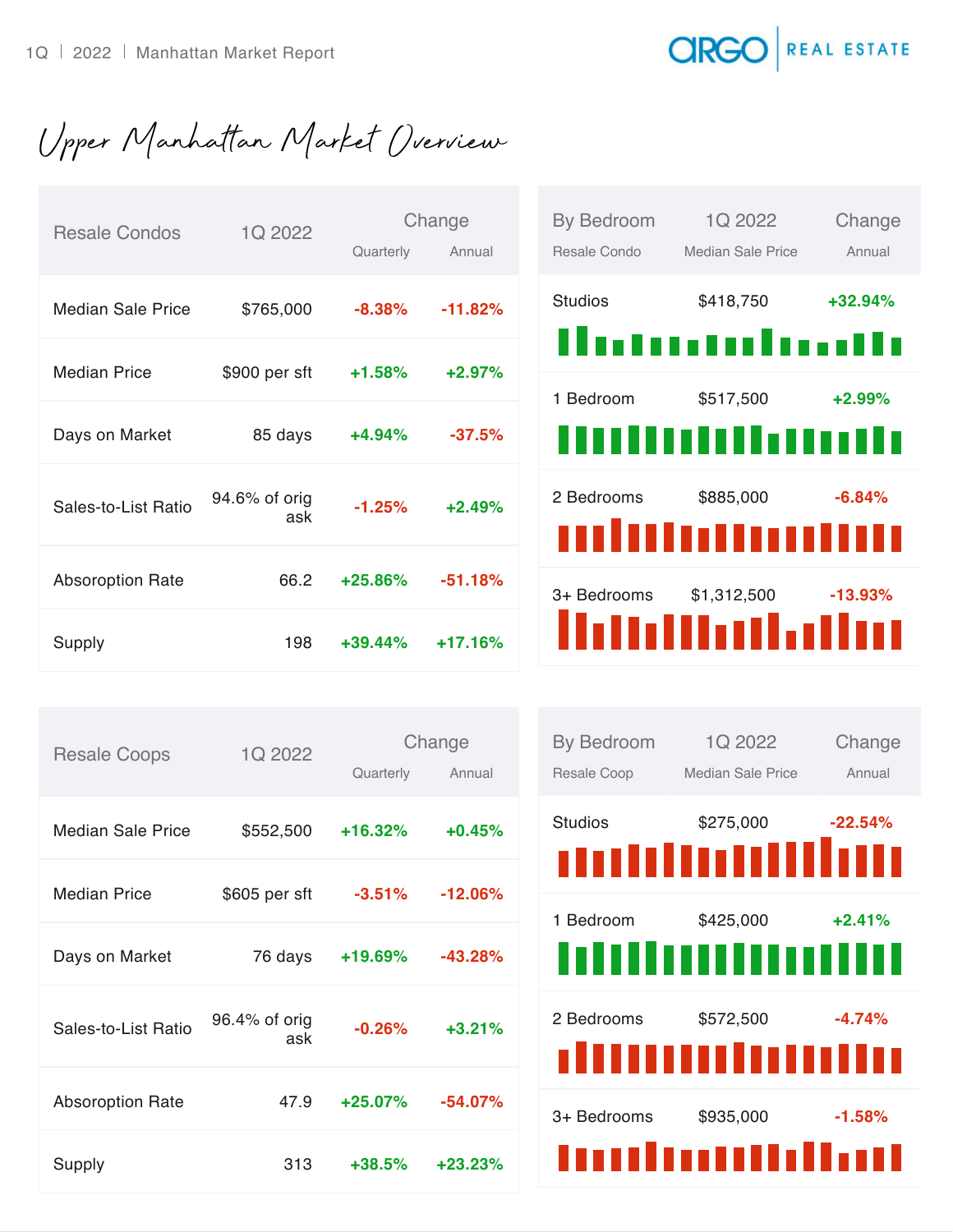#### **CIRGO** REAL ESTATE

Upper Manhattan Market Overview

| <b>Resale Condos</b>     | 1Q 2022              |            | Change    |
|--------------------------|----------------------|------------|-----------|
|                          |                      | Quarterly  | Annual    |
| <b>Median Sale Price</b> | \$765,000            | $-8.38%$   | $-11.82%$ |
|                          |                      |            |           |
| <b>Median Price</b>      | \$900 per sft        | $+1.58%$   | $+2.97%$  |
| Days on Market           | 85 days              | $+4.94\%$  | $-37.5%$  |
| Sales-to-List Ratio      | 94.6% of orig<br>ask | $-1.25%$   | $+2.49%$  |
| <b>Absoroption Rate</b>  | 66.2                 | $+25.86%$  | $-51.18%$ |
| Supply                   | 198                  | $+39.44\%$ | $+17.16%$ |

| <b>By Bedroom</b><br>Resale Condo | 1Q 2022<br>Median Sale Price | Change<br>Annual |
|-----------------------------------|------------------------------|------------------|
| <b>Studios</b>                    | \$418,750<br>.               | +32.94%          |
| 1 Bedroom                         | \$517,500<br>TOH<br>Ŧ        | $+2.99\%$        |
| 2 Bedrooms                        | \$885,000<br>minnum          | $-6.84\%$        |
| 3+ Bedrooms                       | \$1,312,500<br>Milliallat    | $-13.93\%$       |

| <b>Resale Coops</b>      | 1Q 2022       |           | Change     |
|--------------------------|---------------|-----------|------------|
|                          |               | Quarterly | Annual     |
| <b>Median Sale Price</b> |               | $+16.32%$ | $+0.45%$   |
|                          | \$552,500     |           |            |
| <b>Median Price</b>      | \$605 per sft | $-3.51%$  | $-12.06\%$ |
|                          |               |           |            |
| Days on Market           | 76 days       | $+19.69%$ | $-43.28%$  |
|                          |               |           |            |
| Sales-to-List Ratio      | 96.4% of orig | $-0.26%$  | $+3.21%$   |
|                          | ask           |           |            |
| <b>Absoroption Rate</b>  | 47.9          | $+25.07%$ | $-54.07%$  |
|                          |               |           |            |
| Supply                   | 313           | $+38.5%$  | $+23.23%$  |
|                          |               |           |            |

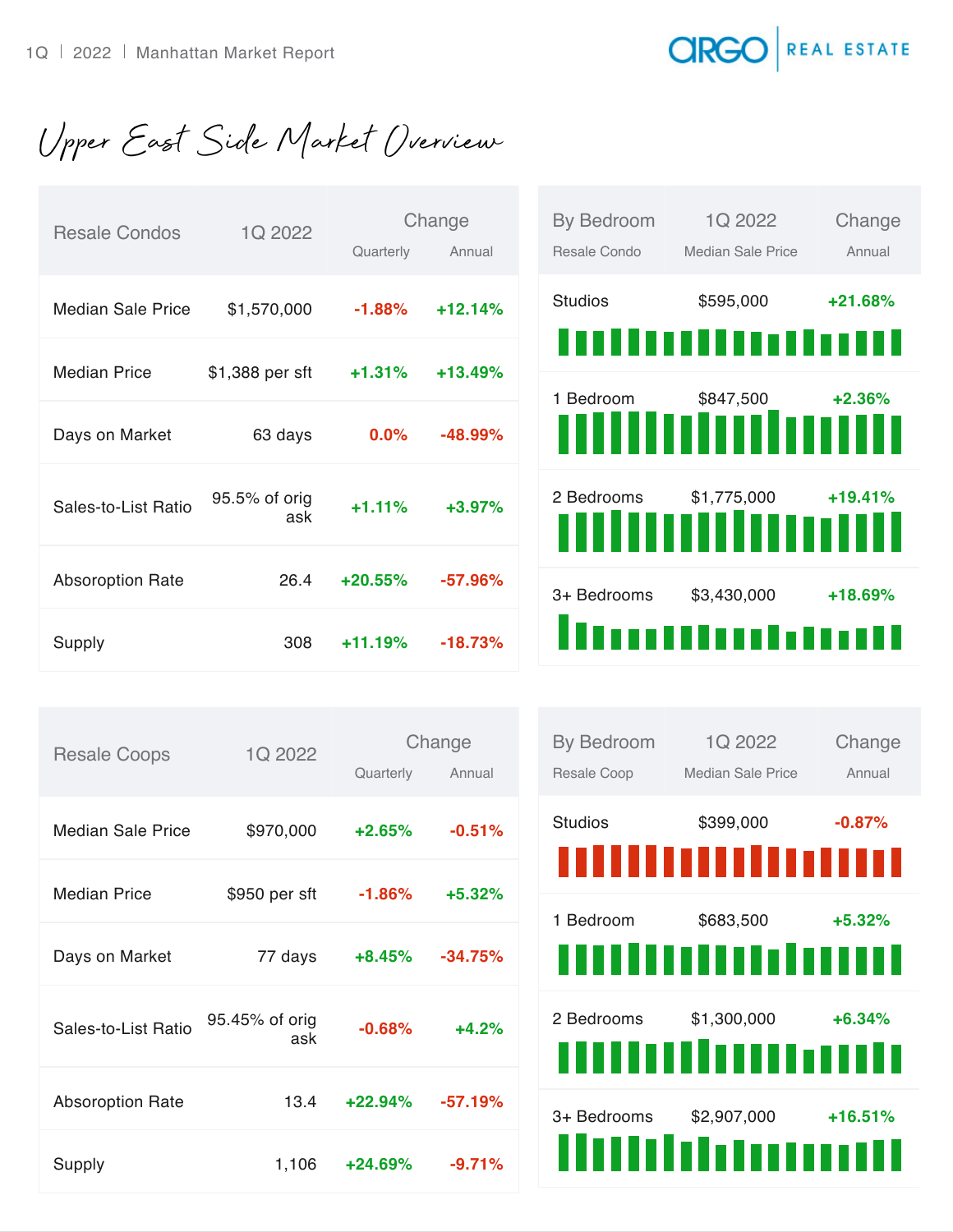## **CIRGO** REAL ESTATE

Upper East Side Market Overview

| <b>Resale Condos</b>    | 1Q 2022              | Quarterly | Change<br>Annual | By Bedroom<br>Resale Condo | 1Q 2022<br>Median Sale Price         | Change<br>Annual |
|-------------------------|----------------------|-----------|------------------|----------------------------|--------------------------------------|------------------|
| Median Sale Price       | \$1,570,000          | $-1.88%$  | $+12.14%$        | <b>Studios</b>             | \$595,000                            | $+21.68%$        |
| <b>Median Price</b>     | \$1,388 per sft      | $+1.31%$  | $+13.49%$        |                            | ,,,,,,,,,,,,,,,,,,                   |                  |
| Days on Market          | 63 days              | 0.0%      | $-48.99%$        | 1 Bedroom                  | \$847,500<br><u>milliniminmus</u>    | $+2.36%$         |
|                         |                      |           |                  |                            |                                      |                  |
| Sales-to-List Ratio     | 95.5% of orig<br>ask | $+1.11%$  | $+3.97%$         | 2 Bedrooms                 | \$1,775,000<br>,,,,,,,,,,,,,,,,,,,,, | $+19.41%$        |
| <b>Absoroption Rate</b> | 26.4                 | $+20.55%$ | $-57.96%$        | 3+ Bedrooms                | \$3,430,000                          | +18.69%          |
| Supply                  | 308                  | $+11.19%$ | $-18.73%$        |                            | !!!!!!!!!!!!!!!!!!!!                 |                  |

| <b>Resale Coops</b>     | 1Q 2022               |           | Change    |
|-------------------------|-----------------------|-----------|-----------|
|                         |                       | Quarterly | Annual    |
|                         |                       |           |           |
| Median Sale Price       | \$970,000             | $+2.65%$  | $-0.51%$  |
| <b>Median Price</b>     | \$950 per sft         | $-1.86%$  | $+5.32%$  |
|                         |                       |           |           |
| Days on Market          | 77 days               | $+8.45%$  | $-34.75%$ |
|                         |                       |           |           |
| Sales-to-List Ratio     | 95.45% of orig<br>ask | $-0.68%$  | $+4.2%$   |
|                         |                       |           |           |
| <b>Absoroption Rate</b> | 13.4                  | $+22.94%$ | $-57.19%$ |
|                         |                       |           |           |
| Supply                  | 1,106                 | $+24.69%$ | $-9.71%$  |

| By Bedroom<br>Resale Coop | 1Q 2022<br>Median Sale Price       | Change<br>Annual |
|---------------------------|------------------------------------|------------------|
| <b>Studios</b>            | \$399,000<br>,,,,,,,,,,,,,,,,,,,   | $-0.87%$         |
| 1 Bedroom                 | \$683,500<br>,,,,,,,,,,,,,,,,,,,   | $+5.32%$         |
| 2 Bedrooms                | \$1,300,000<br>,,,,,,,,,,,,,,,,,,, | $+6.34%$         |
| 3+ Bedrooms               | \$2,907,000<br>ilililililililil    | $+16.51%$        |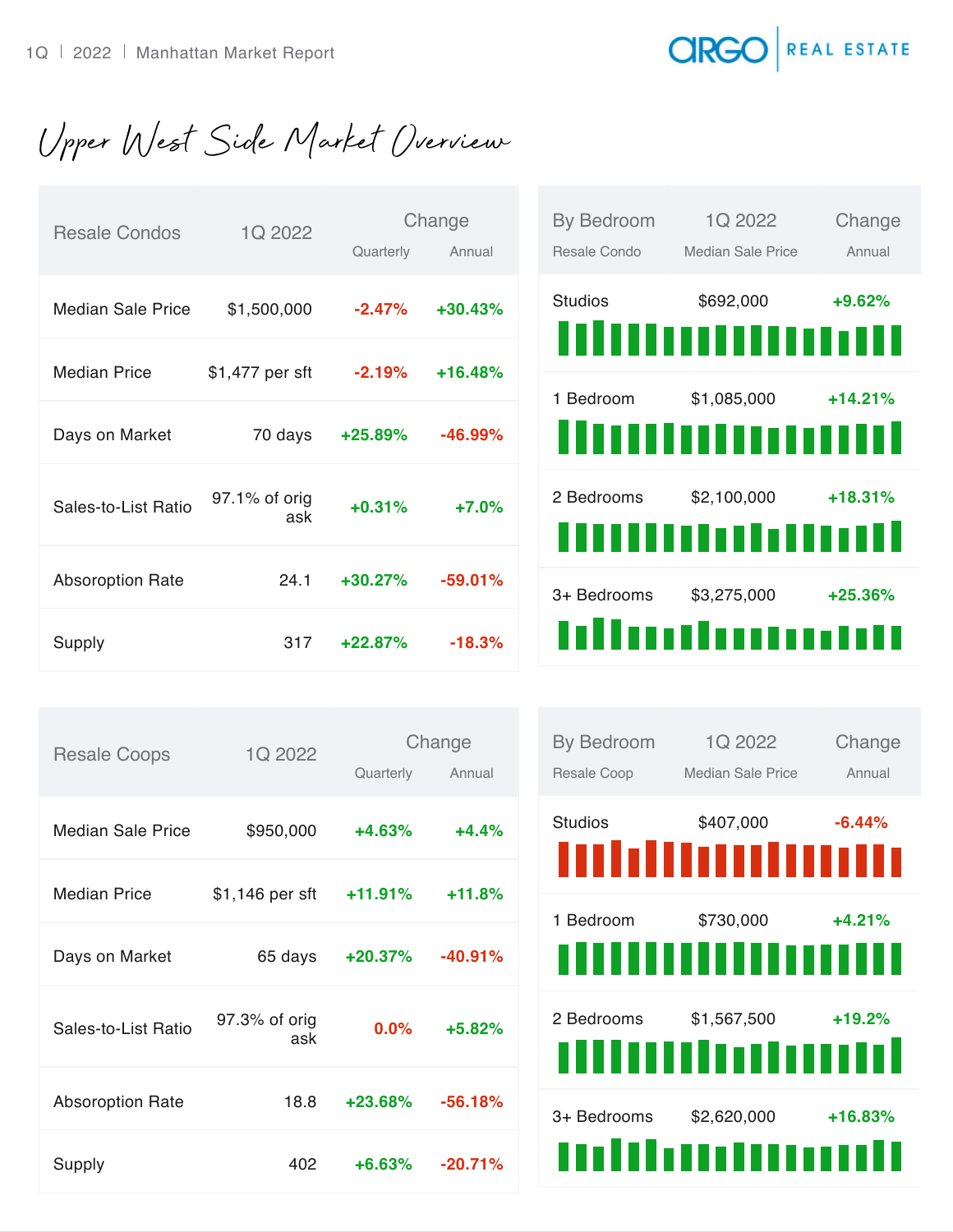## **CIRGO** REAL ESTATE

Upper West Side Market Overview

| <b>Resale Condos</b>     | 1Q 2022              | Quarterly | Change<br>Annual | By Bedroom<br>Resale Condo | 1Q 2022<br><b>Median Sale Price</b> | Change<br>Annual |
|--------------------------|----------------------|-----------|------------------|----------------------------|-------------------------------------|------------------|
| <b>Median Sale Price</b> | \$1,500,000          | $-2.47%$  | $+30.43%$        | <b>Studios</b>             | \$692,000<br>''''''''''''''''''''   | $+9.62%$<br>TII. |
| <b>Median Price</b>      | \$1,477 per sft      | $-2.19%$  | $+16.48%$        | 1 Bedroom                  | \$1,085,000                         | $+14.21%$        |
| Days on Market           | 70 days              | $+25.89%$ | $-46.99%$        |                            | ,,,,,,,,,,,,                        | TTI              |
| Sales-to-List Ratio      | 97.1% of orig<br>ask | $+0.31%$  | $+7.0%$          | 2 Bedrooms                 | \$2,100,000                         | $+18.31%$<br>THE |
| <b>Absoroption Rate</b>  | 24.1                 | $+30.27%$ | $-59.01%$        | 3+ Bedrooms                | \$3,275,000                         | $+25.36%$        |
| Supply                   | 317                  | $+22.87%$ | $-18.3%$         |                            | nlimitmonius                        |                  |

| <b>Resale Coops</b>     | 1Q 2022              |           | Change    |
|-------------------------|----------------------|-----------|-----------|
|                         |                      | Quarterly | Annual    |
| Median Sale Price       | \$950,000            | $+4.63%$  | $+4.4%$   |
| <b>Median Price</b>     | \$1,146 per sft      | +11.91%   | $+11.8%$  |
| Days on Market          | 65 days              | $+20.37%$ | $-40.91%$ |
| Sales-to-List Ratio     | 97.3% of orig<br>ask | 0.0%      | $+5.82%$  |
| <b>Absoroption Rate</b> | 18.8                 | $+23.68%$ | $-56.18%$ |
| Supply                  | 402                  | $+6.63%$  | $-20.71%$ |

| By Bedroom<br>Resale Coop | 1Q 2022<br>Median Sale Price          | Change<br>Annual |
|---------------------------|---------------------------------------|------------------|
| <b>Studios</b>            | \$407,000                             | $-6.44%$         |
| 1 Bedroom                 | \$730,000<br>,,,,,,,,,,,,,,,,,,,      | $+4.21%$         |
| 2 Bedrooms                | \$1,567,500<br>,,,,,,,,,,,,,,,,,,     | $+19.2%$         |
| 3+ Bedrooms               | \$2,620,000<br>,,,,,,,,,,,,,,,,,,,,,, | $+16.83%$        |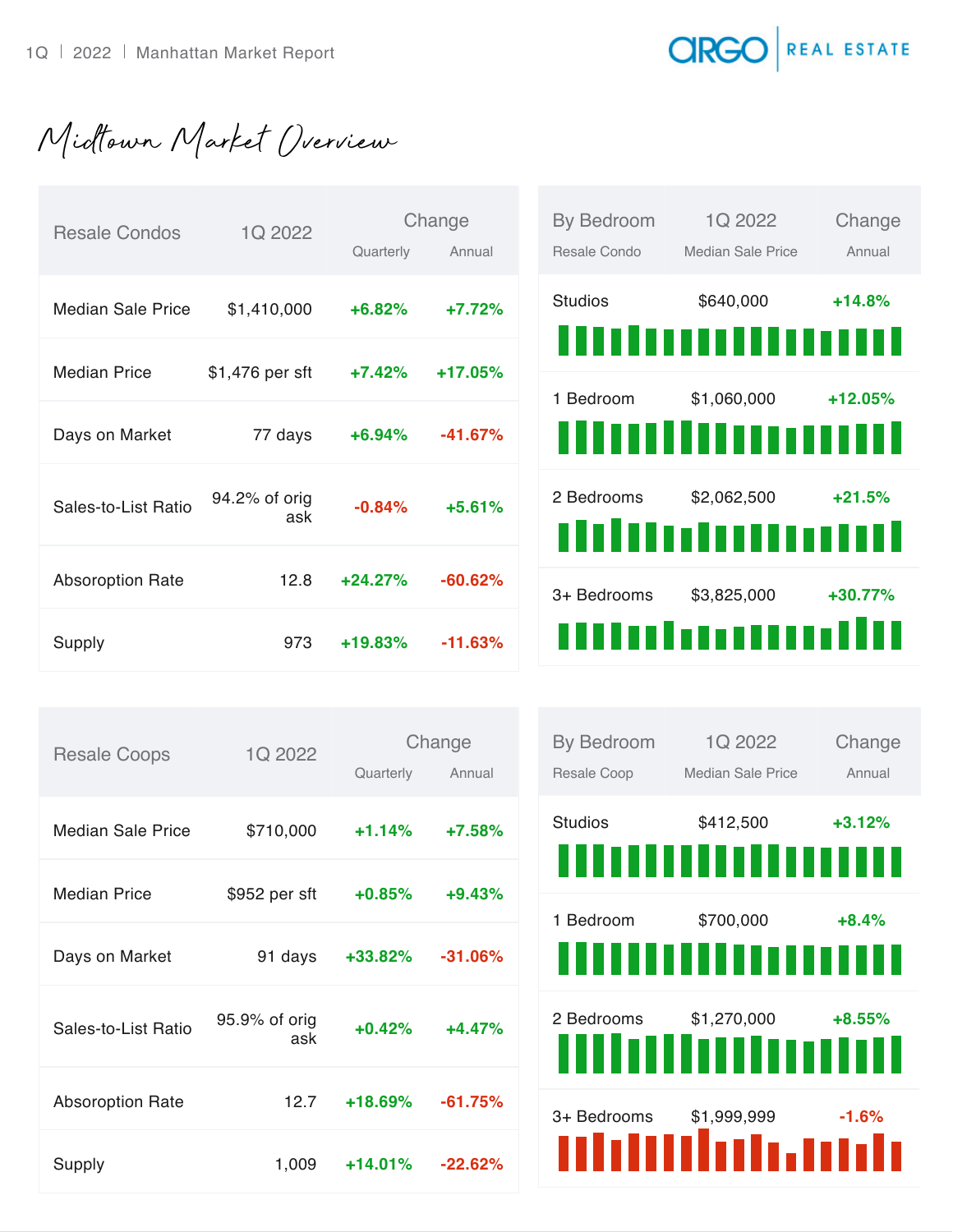**CIRGO** REAL ESTATE

Midtown Market Overview

| <b>Resale Condos</b>     | 1Q 2022              | Quarterly | Change<br>Annual | By Bedroom<br>Resale Condo | 1Q 2022<br>Median Sale Price | Change<br>Annual |
|--------------------------|----------------------|-----------|------------------|----------------------------|------------------------------|------------------|
| <b>Median Sale Price</b> | \$1,410,000          | $+6.82%$  | $+7.72%$         | <b>Studios</b>             | \$640,000                    | $+14.8%$         |
| <b>Median Price</b>      | \$1,476 per sft      | $+7.42%$  | +17.05%          |                            | ,,,,,,,,,,,,,,,,,,,          |                  |
| Days on Market           | 77 days              | $+6.94%$  | $-41.67\%$       | 1 Bedroom                  | \$1,060,000                  | $+12.05%$        |
|                          |                      |           |                  |                            |                              |                  |
| Sales-to-List Ratio      | 94.2% of orig<br>ask | $-0.84%$  | $+5.61%$         | 2 Bedrooms                 | \$2,062,500<br>dduadanaani   | $+21.5%$         |
| <b>Absoroption Rate</b>  | 12.8                 | $+24.27%$ | $-60.62%$        | 3+ Bedrooms                | \$3,825,000                  | +30.77%          |
| Supply                   | 973                  | $+19.83%$ | $-11.63%$        |                            | umaanamilu                   |                  |

| <b>Resale Coops</b>     | 1Q 2022       | Change    |            |
|-------------------------|---------------|-----------|------------|
|                         |               | Quarterly | Annual     |
| Median Sale Price       | \$710,000     | $+1.14%$  | $+7.58%$   |
|                         |               |           |            |
| <b>Median Price</b>     | \$952 per sft | $+0.85%$  | $+9.43%$   |
|                         |               |           |            |
| Days on Market          | 91 days       | $+33.82%$ | $-31.06\%$ |
|                         | 95.9% of orig |           |            |
| Sales-to-List Ratio     | ask           | $+0.42%$  | $+4.47%$   |
| <b>Absoroption Rate</b> | 12.7          | $+18.69%$ | $-61.75%$  |
|                         |               |           |            |
| Supply                  | 1,009         | $+14.01%$ | $-22.62\%$ |

| <b>By Bedroom</b><br>Resale Coop | 1Q 2022<br>Median Sale Price       | Change<br>Annual |
|----------------------------------|------------------------------------|------------------|
| <b>Studios</b>                   | \$412,500<br>,,,,,,,,,,,,,,,,      | $+3.12%$         |
| 1 Bedroom                        | \$700,000<br>,,,,,,,,,,,,,,,,      | $+8.4%$          |
| 2 Bedrooms                       | \$1,270,000<br>,,,,,,,,,,,,,,,,,,, | $+8.55%$         |
| 3+ Bedrooms                      | \$1,999,999<br>nhiilihii, mih      | $-1.6\%$         |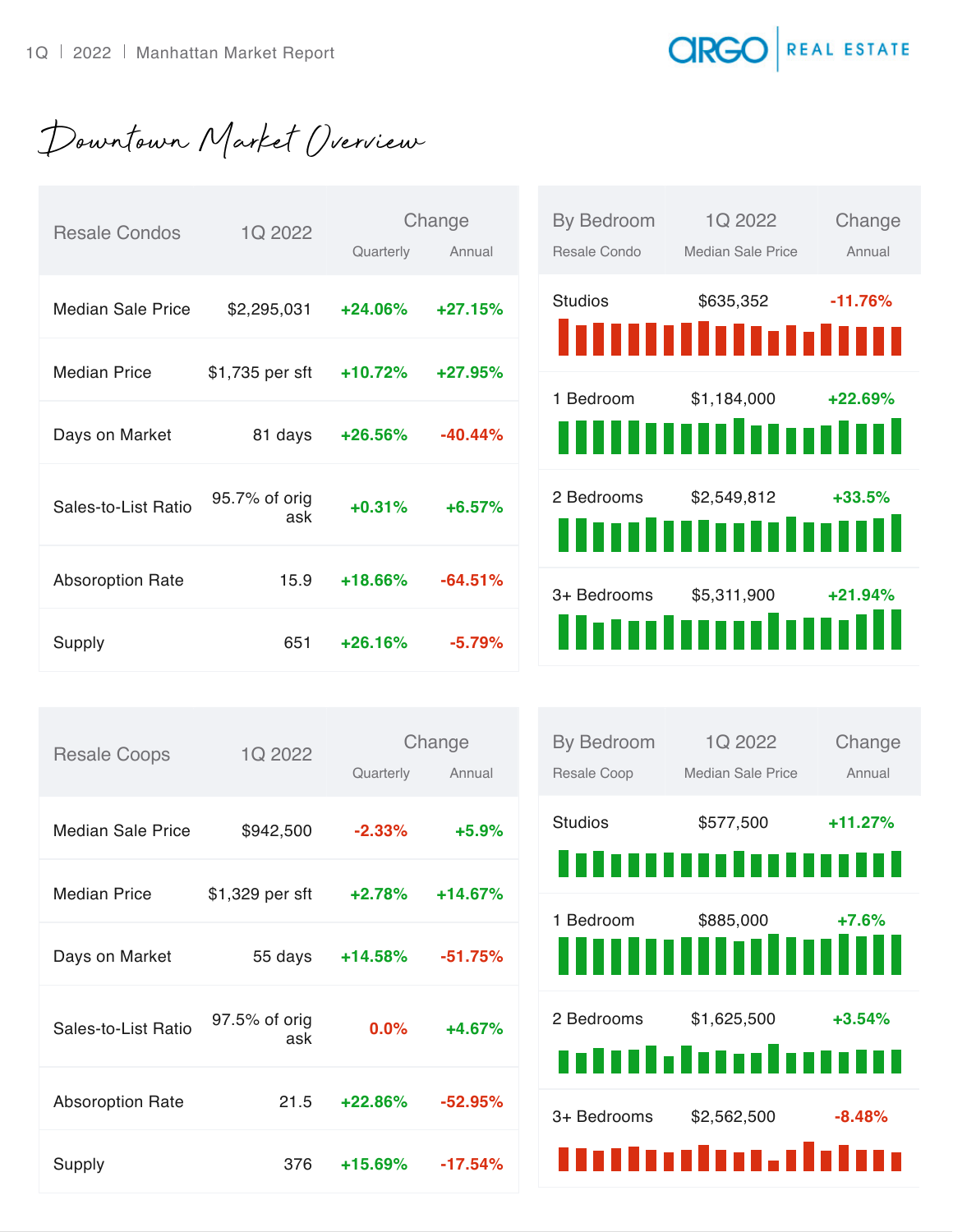REAL ESTATE **CIRGC** 

Downtown Market Overview

| <b>Resale Condos</b>    | 1Q 2022              | Change    |           |
|-------------------------|----------------------|-----------|-----------|
|                         |                      | Quarterly | Annual    |
| Median Sale Price       | \$2,295,031          | $+24.06%$ | $+27.15%$ |
|                         |                      |           |           |
| Median Price            | \$1,735 per sft      | $+10.72%$ | $+27.95%$ |
| Days on Market          | 81 days              | $+26.56%$ | $-40.44%$ |
| Sales-to-List Ratio     | 95.7% of orig<br>ask | $+0.31%$  | $+6.57%$  |
| <b>Absoroption Rate</b> | 15.9                 | $+18.66%$ | $-64.51%$ |
| Supply                  | 651                  | $+26.16%$ | $-5.79%$  |

| <b>By Bedroom</b> | 1Q 2022                     | Change     |
|-------------------|-----------------------------|------------|
| Resale Condo      | Median Sale Price           | Annual     |
| <b>Studios</b>    | \$635,352                   | $-11.76%$  |
|                   | <b>Millinaan</b>            |            |
| 1 Bedroom         | \$1,184,000                 | $+22.69\%$ |
|                   | 1 no 1 D<br>I 8 8 8 8 8 8 1 |            |
| 2 Bedrooms        | \$2,549,812                 | $+33.5%$   |
|                   | mmmm                        |            |
| 3+ Bedrooms       | \$5,311,900                 | $+21.94%$  |
| THE               | TOON                        |            |

| <b>Resale Coops</b>      | 1Q 2022              | Change    |           |  |
|--------------------------|----------------------|-----------|-----------|--|
|                          |                      | Quarterly | Annual    |  |
| <b>Median Sale Price</b> | \$942,500            | $-2.33\%$ | $+5.9%$   |  |
|                          |                      |           |           |  |
| Median Price             | \$1,329 per sft      | $+2.78%$  | $+14.67%$ |  |
| Days on Market           | 55 days              | $+14.58%$ | $-51.75%$ |  |
| Sales-to-List Ratio      | 97.5% of orig<br>ask | 0.0%      | $+4.67%$  |  |
| <b>Absoroption Rate</b>  | 21.5                 | $+22.86%$ | $-52.95%$ |  |
| Supply                   | 376                  | $+15.69%$ | $-17.54%$ |  |